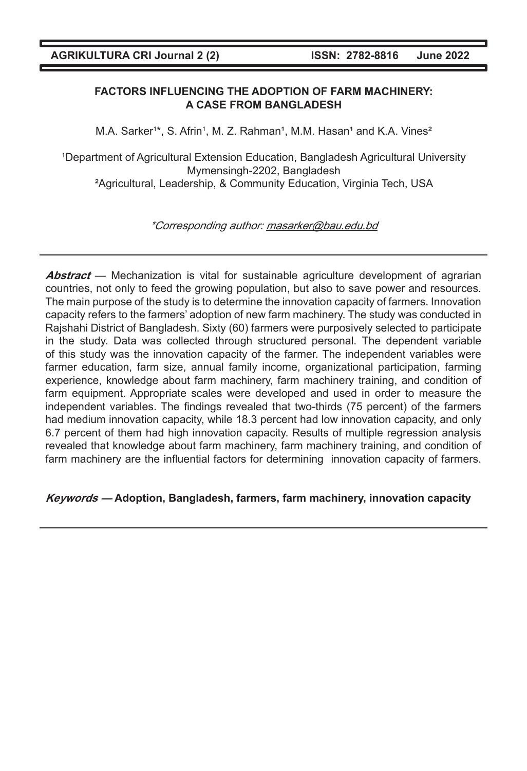# **FACTORS INFLUENCING THE ADOPTION OF FARM MACHINERY: A CASE FROM BANGLADESH**

M.A. Sarker<sup>1\*</sup>, S. Afrin<sup>1</sup>, M. Z. Rahman<sup>1</sup>, M.M. Hasan<sup>1</sup> and K.A. Vines<sup>2</sup>

1 Department of Agricultural Extension Education, Bangladesh Agricultural University Mymensingh-2202, Bangladesh ²Agricultural, Leadership, & Community Education, Virginia Tech, USA

\*Corresponding author: masarker@bau.edu.bd

**Abstract** — Mechanization is vital for sustainable agriculture development of agrarian countries, not only to feed the growing population, but also to save power and resources. The main purpose of the study is to determine the innovation capacity of farmers. Innovation capacity refers to the farmers' adoption of new farm machinery. The study was conducted in Rajshahi District of Bangladesh. Sixty (60) farmers were purposively selected to participate in the study. Data was collected through structured personal. The dependent variable of this study was the innovation capacity of the farmer. The independent variables were farmer education, farm size, annual family income, organizational participation, farming experience, knowledge about farm machinery, farm machinery training, and condition of farm equipment. Appropriate scales were developed and used in order to measure the independent variables. The findings revealed that two-thirds (75 percent) of the farmers had medium innovation capacity, while 18.3 percent had low innovation capacity, and only 6.7 percent of them had high innovation capacity. Results of multiple regression analysis revealed that knowledge about farm machinery, farm machinery training, and condition of farm machinery are the influential factors for determining innovation capacity of farmers.

# **Keywords — Adoption, Bangladesh, farmers, farm machinery, innovation capacity**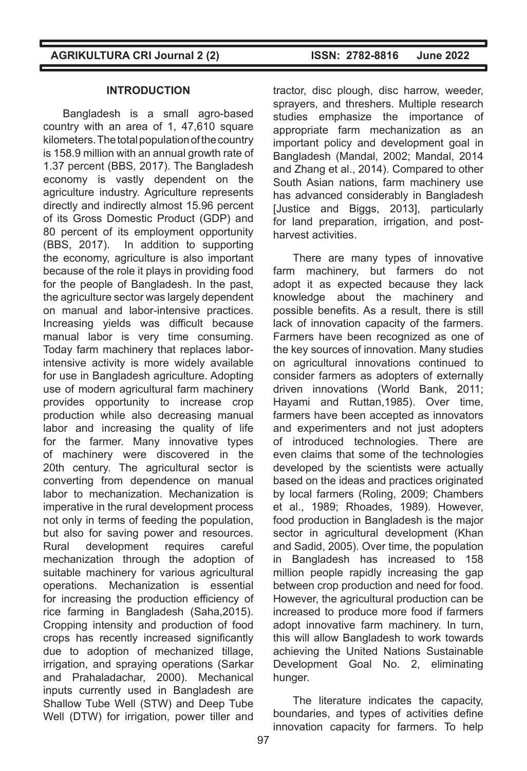### **INTRODUCTION**

Bangladesh is a small agro-based country with an area of 1, 47,610 square kilometers. The total population of the country is 158.9 million with an annual growth rate of 1.37 percent (BBS, 2017). The Bangladesh economy is vastly dependent on the agriculture industry. Agriculture represents directly and indirectly almost 15.96 percent of its Gross Domestic Product (GDP) and 80 percent of its employment opportunity (BBS, 2017). In addition to supporting the economy, agriculture is also important because of the role it plays in providing food for the people of Bangladesh. In the past, the agriculture sector was largely dependent on manual and labor-intensive practices. Increasing yields was difficult because manual labor is very time consuming. Today farm machinery that replaces laborintensive activity is more widely available for use in Bangladesh agriculture. Adopting use of modern agricultural farm machinery provides opportunity to increase crop production while also decreasing manual labor and increasing the quality of life for the farmer. Many innovative types of machinery were discovered in the 20th century. The agricultural sector is converting from dependence on manual labor to mechanization. Mechanization is imperative in the rural development process not only in terms of feeding the population, but also for saving power and resources. Rural development requires careful mechanization through the adoption of suitable machinery for various agricultural operations. Mechanization is essential for increasing the production efficiency of rice farming in Bangladesh (Saha,2015). Cropping intensity and production of food crops has recently increased significantly due to adoption of mechanized tillage, irrigation, and spraying operations (Sarkar and Prahaladachar, 2000). Mechanical inputs currently used in Bangladesh are Shallow Tube Well (STW) and Deep Tube Well (DTW) for irrigation, power tiller and

tractor, disc plough, disc harrow, weeder, sprayers, and threshers. Multiple research studies emphasize the importance of appropriate farm mechanization as an important policy and development goal in Bangladesh (Mandal, 2002; Mandal, 2014 and Zhang et al., 2014). Compared to other South Asian nations, farm machinery use has advanced considerably in Bangladesh [Justice and Biggs, 2013], particularly for land preparation, irrigation, and postharvest activities.

There are many types of innovative farm machinery, but farmers do not adopt it as expected because they lack knowledge about the machinery and possible benefits. As a result, there is still lack of innovation capacity of the farmers. Farmers have been recognized as one of the key sources of innovation. Many studies on agricultural innovations continued to consider farmers as adopters of externally driven innovations (World Bank, 2011; Hayami and Ruttan,1985). Over time, farmers have been accepted as innovators and experimenters and not just adopters of introduced technologies. There are even claims that some of the technologies developed by the scientists were actually based on the ideas and practices originated by local farmers (Roling, 2009; Chambers et al., 1989; Rhoades, 1989). However, food production in Bangladesh is the major sector in agricultural development (Khan and Sadid, 2005). Over time, the population in Bangladesh has increased to 158 million people rapidly increasing the gap between crop production and need for food. However, the agricultural production can be increased to produce more food if farmers adopt innovative farm machinery. In turn, this will allow Bangladesh to work towards achieving the United Nations Sustainable Development Goal No. 2, eliminating hunger.

The literature indicates the capacity, boundaries, and types of activities define innovation capacity for farmers. To help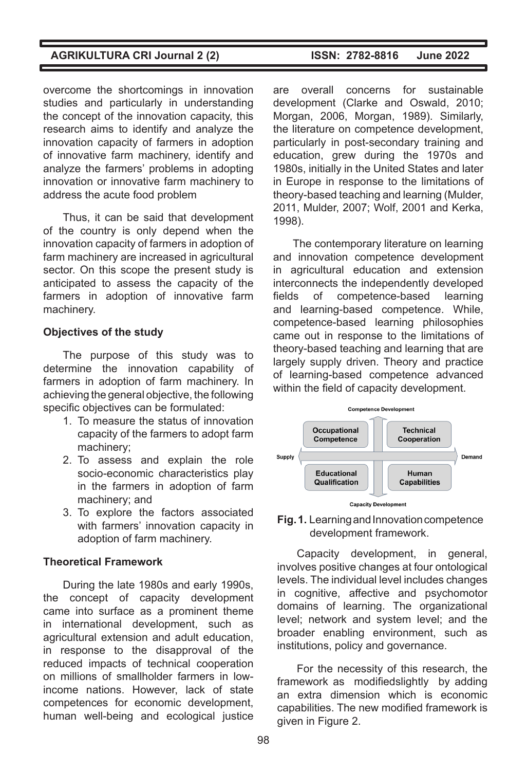overcome the shortcomings in innovation studies and particularly in understanding the concept of the innovation capacity, this research aims to identify and analyze the innovation capacity of farmers in adoption of innovative farm machinery, identify and analyze the farmers' problems in adopting innovation or innovative farm machinery to address the acute food problem

Thus, it can be said that development of the country is only depend when the innovation capacity of farmers in adoption of farm machinery are increased in agricultural sector. On this scope the present study is anticipated to assess the capacity of the farmers in adoption of innovative farm machinery.

### **Objectives of the study**

The purpose of this study was to determine the innovation capability of farmers in adoption of farm machinery. In achieving the general objective, the following specific objectives can be formulated:

- 1. To measure the status of innovation capacity of the farmers to adopt farm machinery;
- 2. To assess and explain the role socio-economic characteristics play in the farmers in adoption of farm machinery; and
- 3. To explore the factors associated with farmers' innovation capacity in adoption of farm machinery.

#### **Theoretical Framework**

During the late 1980s and early 1990s, the concept of capacity development came into surface as a prominent theme in international development, such as agricultural extension and adult education, in response to the disapproval of the reduced impacts of technical cooperation on millions of smallholder farmers in lowincome nations. However, lack of state competences for economic development, human well-being and ecological justice

are overall concerns for sustainable development (Clarke and Oswald, 2010; Morgan, 2006, Morgan, 1989). Similarly, the literature on competence development, particularly in post-secondary training and education, grew during the 1970s and 1980s, initially in the United States and later in Europe in response to the limitations of theory-based teaching and learning (Mulder, 2011, Mulder, 2007; Wolf, 2001 and Kerka, 1998).

The contemporary literature on learning and innovation competence development in agricultural education and extension interconnects the independently developed fields of competence-based learning and learning-based competence. While, competence-based learning philosophies came out in response to the limitations of theory-based teaching and learning that are largely supply driven. Theory and practice of learning-based competence advanced within the field of capacity development.





Capacity development, in general, involves positive changes at four ontological levels. The individual level includes changes in cognitive, affective and psychomotor domains of learning. The organizational level; network and system level; and the broader enabling environment, such as institutions, policy and governance.

For the necessity of this research, the framework as modifiedslightly by adding an extra dimension which is economic capabilities. The new modified framework is given in Figure 2.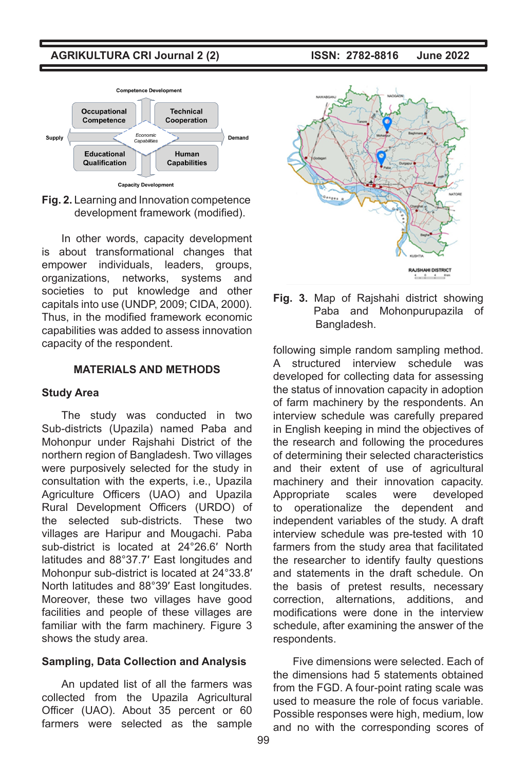

**Fig. 2.** Learning and Innovation competence development framework (modified).

In other words, capacity development is about transformational changes that empower individuals, leaders, groups, organizations, networks, systems and societies to put knowledge and other capitals into use (UNDP, 2009; CIDA, 2000). Thus, in the modified framework economic capabilities was added to assess innovation capacity of the respondent.

# **MATERIALS AND METHODS**

#### **Study Area**

The study was conducted in two Sub-districts (Upazila) named Paba and Mohonpur under Rajshahi District of the northern region of Bangladesh. Two villages were purposively selected for the study in consultation with the experts, i.e., Upazila Agriculture Officers (UAO) and Upazila Rural Development Officers (URDO) of the selected sub-districts. These two villages are Haripur and Mougachi. Paba sub-district is located at 24°26.6′ North latitudes and 88°37.7′ East longitudes and Mohonpur sub-district is located at 24°33.8′ North latitudes and 88°39′ East longitudes. Moreover, these two villages have good facilities and people of these villages are familiar with the farm machinery. Figure 3 shows the study area.

### **Sampling, Data Collection and Analysis**

An updated list of all the farmers was collected from the Upazila Agricultural Officer (UAO). About 35 percent or 60 farmers were selected as the sample



**Fig. 3.** Map of Rajshahi district showing Paba and Mohonpurupazila of Bangladesh.

following simple random sampling method. A structured interview schedule was developed for collecting data for assessing the status of innovation capacity in adoption of farm machinery by the respondents. An interview schedule was carefully prepared in English keeping in mind the objectives of the research and following the procedures of determining their selected characteristics and their extent of use of agricultural machinery and their innovation capacity. Appropriate scales were developed to operationalize the dependent and independent variables of the study. A draft interview schedule was pre-tested with 10 farmers from the study area that facilitated the researcher to identify faulty questions and statements in the draft schedule. On the basis of pretest results, necessary correction, alternations, additions, and modifications were done in the interview schedule, after examining the answer of the respondents.

Five dimensions were selected. Each of the dimensions had 5 statements obtained from the FGD. A four-point rating scale was used to measure the role of focus variable. Possible responses were high, medium, low and no with the corresponding scores of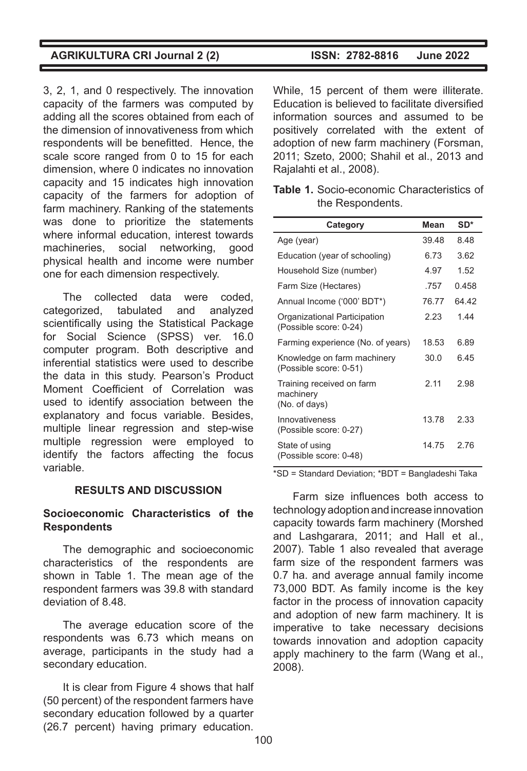3, 2, 1, and 0 respectively. The innovation capacity of the farmers was computed by adding all the scores obtained from each of the dimension of innovativeness from which respondents will be benefitted. Hence, the scale score ranged from 0 to 15 for each dimension, where 0 indicates no innovation capacity and 15 indicates high innovation capacity of the farmers for adoption of farm machinery. Ranking of the statements was done to prioritize the statements where informal education, interest towards machineries, social networking, good physical health and income were number one for each dimension respectively.

The collected data were coded, categorized, tabulated and analyzed scientifically using the Statistical Package for Social Science (SPSS) ver. 16.0 computer program. Both descriptive and inferential statistics were used to describe the data in this study. Pearson's Product Moment Coefficient of Correlation was used to identify association between the explanatory and focus variable. Besides, multiple linear regression and step-wise multiple regression were employed to identify the factors affecting the focus variable.

### **RESULTS AND DISCUSSION**

# **Socioeconomic Characteristics of the Respondents**

The demographic and socioeconomic characteristics of the respondents are shown in Table 1. The mean age of the respondent farmers was 39.8 with standard deviation of 8.48.

The average education score of the respondents was 6.73 which means on average, participants in the study had a secondary education.

It is clear from Figure 4 shows that half (50 percent) of the respondent farmers have secondary education followed by a quarter (26.7 percent) having primary education.

While, 15 percent of them were illiterate. Education is believed to facilitate diversified information sources and assumed to be positively correlated with the extent of adoption of new farm machinery (Forsman, 2011; Szeto, 2000; Shahil et al., 2013 and Rajalahti et al., 2008).

| <b>Table 1.</b> Socio-economic Characteristics of |  |
|---------------------------------------------------|--|
| the Respondents.                                  |  |

| Category                                                | Mean  | $SD*$ |
|---------------------------------------------------------|-------|-------|
| Age (year)                                              | 39.48 | 8 48  |
| Education (year of schooling)                           | 6.73  | 3.62  |
| Household Size (number)                                 | 4 97  | 1.52  |
| Farm Size (Hectares)                                    | .757  | 0458  |
| Annual Income ('000' BDT*)                              | 76.77 | 64 42 |
| Organizational Participation<br>(Possible score: 0-24)  | 2.23  | 144   |
| Farming experience (No. of years)                       | 18.53 | 6.89  |
| Knowledge on farm machinery<br>(Possible score: 0-51)   | 30.0  | ճ 45  |
| Training received on farm<br>machinery<br>(No. of days) | 2.11  | 2.98  |
| Innovativeness<br>(Possible score: 0-27)                | 1378  | 2.33  |
| State of using<br>(Possible score: 0-48)                | 14 75 | 2 76  |

\*SD = Standard Deviation; \*BDT = Bangladeshi Taka

Farm size influences both access to technology adoption and increase innovation capacity towards farm machinery (Morshed and Lashgarara, 2011; and Hall et al., 2007). Table 1 also revealed that average farm size of the respondent farmers was 0.7 ha. and average annual family income 73,000 BDT. As family income is the key factor in the process of innovation capacity and adoption of new farm machinery. It is imperative to take necessary decisions towards innovation and adoption capacity apply machinery to the farm (Wang et al., 2008).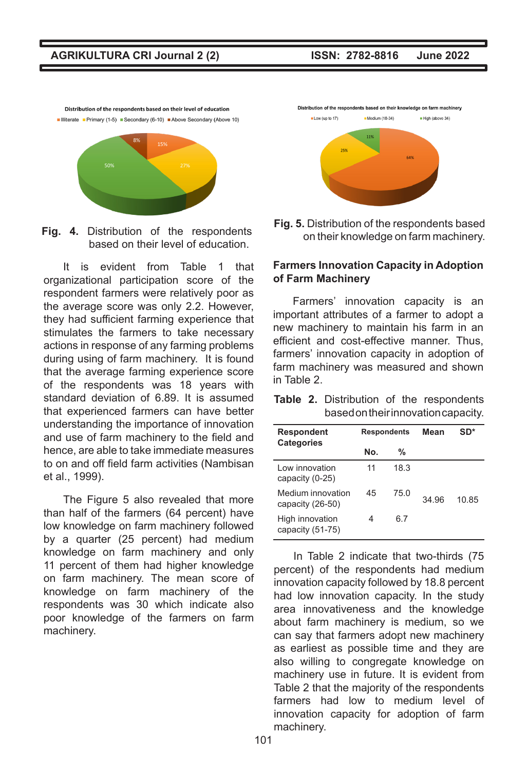■ Illiterate ■ Primary (1-5) ■ Secondary (6-10) ■ Above Secondary (Above 10) 8%

Distribution of the respondents based on their level of education

**Fig. 4.** Distribution of the respondents based on their level of education.

It is evident from Table 1 that organizational participation score of the respondent farmers were relatively poor as the average score was only 2.2. However, they had sufficient farming experience that stimulates the farmers to take necessary actions in response of any farming problems during using of farm machinery. It is found that the average farming experience score of the respondents was 18 years with standard deviation of 6.89. It is assumed that experienced farmers can have better understanding the importance of innovation and use of farm machinery to the field and hence, are able to take immediate measures to on and off field farm activities (Nambisan et al., 1999).

The Figure 5 also revealed that more than half of the farmers (64 percent) have low knowledge on farm machinery followed by a quarter (25 percent) had medium knowledge on farm machinery and only 11 percent of them had higher knowledge on farm machinery. The mean score of knowledge on farm machinery of the respondents was 30 which indicate also poor knowledge of the farmers on farm machinery.

Distribution of the respondents based on their knowledge on farm machinery Low (up to 17) Medium (18-34) High (above 34)



**Fig. 5.** Distribution of the respondents based on their knowledge on farm machinery.

# **Farmers Innovation Capacity in Adoption of Farm Machinery**

Farmers' innovation capacity is an important attributes of a farmer to adopt a new machinery to maintain his farm in an efficient and cost-effective manner. Thus, farmers' innovation capacity in adoption of farm machinery was measured and shown in Table 2.

|  |  | <b>Table 2.</b> Distribution of the respondents |
|--|--|-------------------------------------------------|
|  |  | based on their innovation capacity.             |

| Respondent<br><b>Categories</b>       |     | <b>Respondents</b> | Mean  | SD*  |
|---------------------------------------|-----|--------------------|-------|------|
|                                       | Nο. | %                  |       |      |
| I ow innovation<br>capacity (0-25)    | 11  | 18.3               |       |      |
| Medium innovation<br>capacity (26-50) | 45  | 75 0               | 34 96 | 1085 |
| High innovation<br>capacity (51-75)   | 4   | հ 7                |       |      |

In Table 2 indicate that two-thirds (75 percent) of the respondents had medium innovation capacity followed by 18.8 percent had low innovation capacity. In the study area innovativeness and the knowledge about farm machinery is medium, so we can say that farmers adopt new machinery as earliest as possible time and they are also willing to congregate knowledge on machinery use in future. It is evident from Table 2 that the majority of the respondents farmers had low to medium level of innovation capacity for adoption of farm machinery.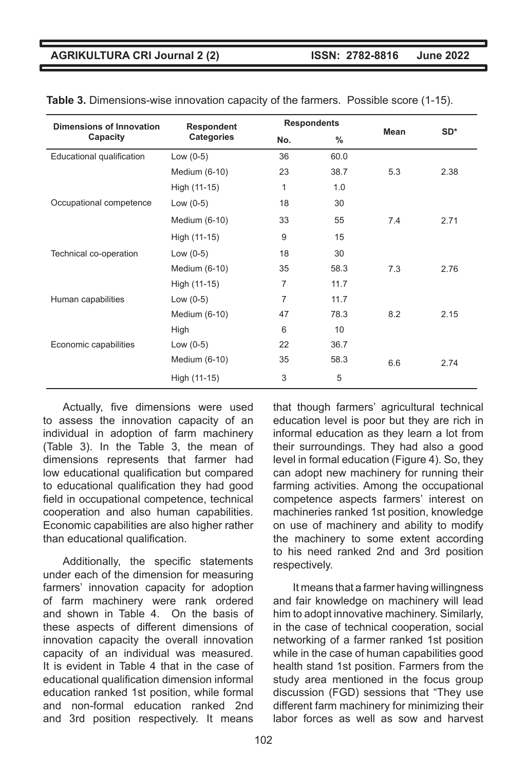| <b>Dimensions of Innovation</b> | <b>Respondent</b> |                | <b>Respondents</b> |      | $SD*$ |
|---------------------------------|-------------------|----------------|--------------------|------|-------|
| Capacity                        | Categories        | No.            | %                  | Mean |       |
| Educational qualification       | Low $(0-5)$       | 36             | 60.0               |      |       |
|                                 | Medium (6-10)     | 23             | 38.7               | 5.3  | 2.38  |
|                                 | High (11-15)      | 1              | 1.0                |      |       |
| Occupational competence         | Low $(0-5)$       | 18             | 30                 |      |       |
|                                 | Medium (6-10)     | 33             | 55                 | 7.4  | 2.71  |
|                                 | High (11-15)      | 9              | 15                 |      |       |
| Technical co-operation          | Low $(0-5)$       | 18             | 30                 |      |       |
|                                 | Medium (6-10)     | 35             | 58.3               | 7.3  | 2.76  |
|                                 | High (11-15)      | 7              | 11.7               |      |       |
| Human capabilities              | Low $(0-5)$       | $\overline{7}$ | 11.7               |      |       |
|                                 | Medium (6-10)     | 47             | 78.3               | 8.2  | 2.15  |
|                                 | High              | 6              | 10                 |      |       |
| Economic capabilities           | Low $(0-5)$       | 22             | 36.7               |      |       |
|                                 | Medium (6-10)     | 35             | 58.3               | 6.6  | 2.74  |
|                                 | High (11-15)      | 3              | 5                  |      |       |

**Table 3.** Dimensions-wise innovation capacity of the farmers. Possible score (1-15).

Actually, five dimensions were used to assess the innovation capacity of an individual in adoption of farm machinery (Table 3). In the Table 3, the mean of dimensions represents that farmer had low educational qualification but compared to educational qualification they had good field in occupational competence, technical cooperation and also human capabilities. Economic capabilities are also higher rather than educational qualification.

Additionally, the specific statements under each of the dimension for measuring farmers' innovation capacity for adoption of farm machinery were rank ordered and shown in Table 4. On the basis of these aspects of different dimensions of innovation capacity the overall innovation capacity of an individual was measured. It is evident in Table 4 that in the case of educational qualification dimension informal education ranked 1st position, while formal and non-formal education ranked 2nd and 3rd position respectively. It means

that though farmers' agricultural technical education level is poor but they are rich in informal education as they learn a lot from their surroundings. They had also a good level in formal education (Figure 4). So, they can adopt new machinery for running their farming activities. Among the occupational competence aspects farmers' interest on machineries ranked 1st position, knowledge on use of machinery and ability to modify the machinery to some extent according to his need ranked 2nd and 3rd position respectively.

It means that a farmer having willingness and fair knowledge on machinery will lead him to adopt innovative machinery. Similarly, in the case of technical cooperation, social networking of a farmer ranked 1st position while in the case of human capabilities good health stand 1st position. Farmers from the study area mentioned in the focus group discussion (FGD) sessions that "They use different farm machinery for minimizing their labor forces as well as sow and harvest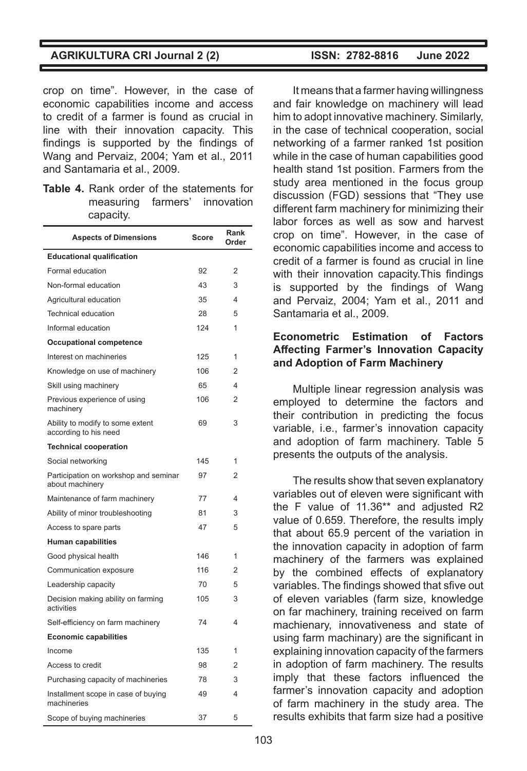crop on time". However, in the case of economic capabilities income and access to credit of a farmer is found as crucial in line with their innovation capacity. This findings is supported by the findings of Wang and Pervaiz, 2004; Yam et al., 2011 and Santamaria et al., 2009.

**Table 4.** Rank order of the statements for measuring farmers' innovation capacity.

| <b>Aspects of Dimensions</b>                              | Score | Rank<br>Order  |
|-----------------------------------------------------------|-------|----------------|
| <b>Educational qualification</b>                          |       |                |
| Formal education                                          | 92    | 2              |
| Non-formal education                                      | 43    | 3              |
| Agricultural education                                    | 35    | 4              |
| <b>Technical education</b>                                | 28    | 5              |
| Informal education                                        | 124   | 1              |
| <b>Occupational competence</b>                            |       |                |
| Interest on machineries                                   | 125   | 1              |
| Knowledge on use of machinery                             | 106   | $\overline{2}$ |
| Skill using machinery                                     | 65    | 4              |
| Previous experience of using<br>machinery                 | 106   | 2              |
| Ability to modify to some extent<br>according to his need | 69    | 3              |
| <b>Technical cooperation</b>                              |       |                |
| Social networking                                         | 145   | 1              |
| Participation on workshop and seminar<br>about machinery  | 97    | $\overline{2}$ |
| Maintenance of farm machinery                             | 77    | 4              |
| Ability of minor troubleshooting                          | 81    | 3              |
| Access to spare parts                                     | 47    | 5              |
| <b>Human capabilities</b>                                 |       |                |
| Good physical health                                      | 146   | 1              |
| Communication exposure                                    | 116   | 2              |
| Leadership capacity                                       | 70    | 5              |
| Decision making ability on farming<br>activities          | 105   | 3              |
| Self-efficiency on farm machinery                         | 74    | 4              |
| <b>Economic capabilities</b>                              |       |                |
| Income                                                    | 135   | 1              |
| Access to credit                                          | 98    | 2              |
| Purchasing capacity of machineries                        | 78    | 3              |
| Installment scope in case of buying<br>machineries        | 49    | 4              |
| Scope of buying machineries                               | 37    | 5              |

It means that a farmer having willingness and fair knowledge on machinery will lead him to adopt innovative machinery. Similarly, in the case of technical cooperation, social networking of a farmer ranked 1st position while in the case of human capabilities good health stand 1st position. Farmers from the study area mentioned in the focus group discussion (FGD) sessions that "They use different farm machinery for minimizing their labor forces as well as sow and harvest crop on time". However, in the case of economic capabilities income and access to credit of a farmer is found as crucial in line with their innovation capacity.This findings is supported by the findings of Wang and Pervaiz, 2004; Yam et al., 2011 and Santamaria et al., 2009.

# **Econometric Estimation of Factors Affecting Farmer's Innovation Capacity and Adoption of Farm Machinery**

Multiple linear regression analysis was employed to determine the factors and their contribution in predicting the focus variable, i.e., farmer's innovation capacity and adoption of farm machinery. Table 5 presents the outputs of the analysis.

The results show that seven explanatory variables out of eleven were significant with the F value of 11.36\*\* and adjusted R2 value of 0.659. Therefore, the results imply that about 65.9 percent of the variation in the innovation capacity in adoption of farm machinery of the farmers was explained by the combined effects of explanatory variables. The findings showed that sfive out of eleven variables (farm size, knowledge on far machinery, training received on farm machienary, innovativeness and state of using farm machinary) are the significant in explaining innovation capacity of the farmers in adoption of farm machinery. The results imply that these factors influenced the farmer's innovation capacity and adoption of farm machinery in the study area. The results exhibits that farm size had a positive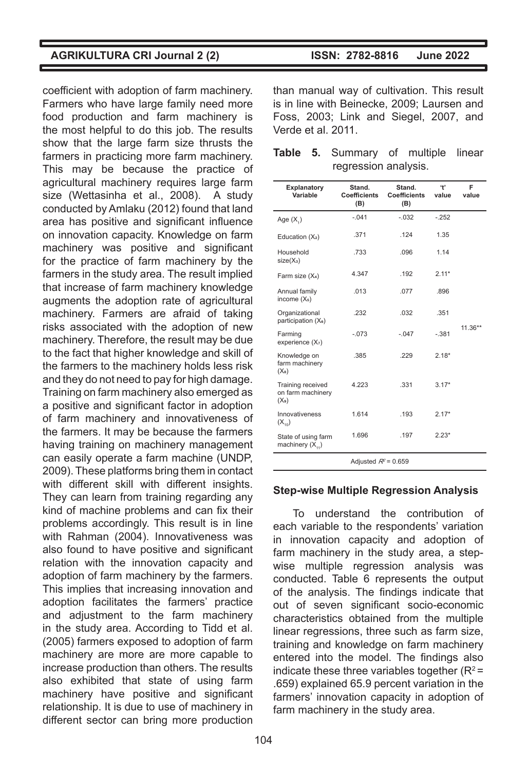coefficient with adoption of farm machinery. Farmers who have large family need more food production and farm machinery is the most helpful to do this job. The results show that the large farm size thrusts the farmers in practicing more farm machinery. This may be because the practice of agricultural machinery requires large farm size (Wettasinha et al., 2008). A study conducted by Amlaku (2012) found that land area has positive and significant influence on innovation capacity. Knowledge on farm machinery was positive and significant for the practice of farm machinery by the farmers in the study area. The result implied that increase of farm machinery knowledge augments the adoption rate of agricultural machinery. Farmers are afraid of taking risks associated with the adoption of new machinery. Therefore, the result may be due to the fact that higher knowledge and skill of the farmers to the machinery holds less risk and they do not need to pay for high damage. Training on farm machinery also emerged as a positive and significant factor in adoption of farm machinery and innovativeness of the farmers. It may be because the farmers having training on machinery management can easily operate a farm machine (UNDP, 2009). These platforms bring them in contact with different skill with different insights. They can learn from training regarding any kind of machine problems and can fix their problems accordingly. This result is in line with Rahman (2004). Innovativeness was also found to have positive and significant relation with the innovation capacity and adoption of farm machinery by the farmers. This implies that increasing innovation and adoption facilitates the farmers' practice and adjustment to the farm machinery in the study area. According to Tidd et al. (2005) farmers exposed to adoption of farm machinery are more are more capable to increase production than others. The results also exhibited that state of using farm machinery have positive and significant relationship. It is due to use of machinery in different sector can bring more production

than manual way of cultivation. This result is in line with Beinecke, 2009; Laursen and Foss, 2003; Link and Siegel, 2007, and Verde et al. 2011.

|  | Table 5. Summary of multiple linear |  |  |
|--|-------------------------------------|--|--|
|  | regression analysis.                |  |  |

| Explanatory<br>Variable                           | Stand.<br><b>Coefficients</b><br>(B) | Stand.<br><b>Coefficients</b><br>(B) | 4'<br>value | F<br>value |
|---------------------------------------------------|--------------------------------------|--------------------------------------|-------------|------------|
| Age $(X_1)$                                       | $-.041$                              | $-.032$                              | $-252$      |            |
| Education (X <sub>2</sub> )                       | .371                                 | .124                                 | 1.35        |            |
| Household<br>$size(X_3)$                          | .733                                 | .096                                 | 1.14        |            |
| Farm size (X <sub>4</sub> )                       | 4.347                                | .192                                 | $2.11*$     |            |
| Annual family<br>income $(X5)$                    | .013                                 | .077                                 | .896        |            |
| Organizational<br>participation (X <sub>6</sub> ) | .232                                 | .032                                 | .351        |            |
| Farming<br>experience $(X7)$                      | $-.073$                              | $-.047$                              | $-.381$     | $11.36**$  |
| Knowledge on<br>farm machinery<br>$(X_8)$         | .385                                 | .229                                 | $2.18*$     |            |
| Training received<br>on farm machinery<br>$(X_9)$ | 4.223                                | .331                                 | $3.17*$     |            |
| Innovativeness<br>$(X_{10})$                      | 1.614                                | .193                                 | $2.17*$     |            |
| State of using farm<br>machinery $(X_{11})$       | 1.696                                | .197                                 | $2.23*$     |            |
| Adjusted $R^2$ = 0.659                            |                                      |                                      |             |            |

# **Step-wise Multiple Regression Analysis**

To understand the contribution of each variable to the respondents' variation in innovation capacity and adoption of farm machinery in the study area, a stepwise multiple regression analysis was conducted. Table 6 represents the output of the analysis. The findings indicate that out of seven significant socio-economic characteristics obtained from the multiple linear regressions, three such as farm size, training and knowledge on farm machinery entered into the model. The findings also indicate these three variables together  $(R^2 =$ .659) explained 65.9 percent variation in the farmers' innovation capacity in adoption of farm machinery in the study area.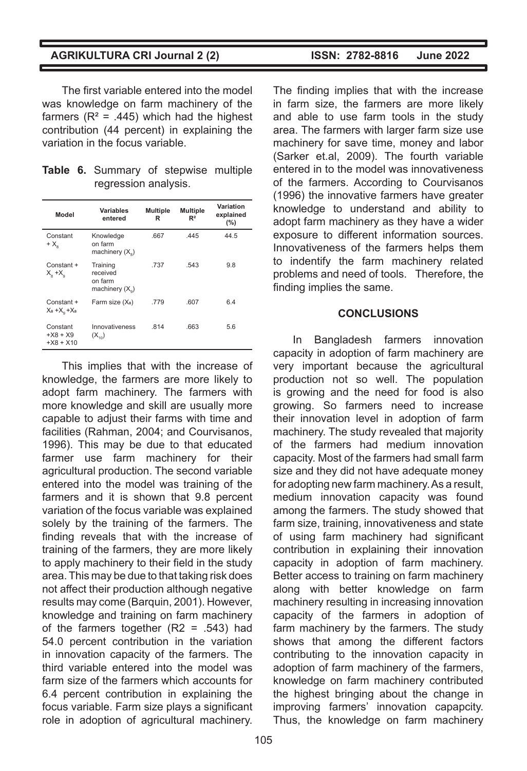The first variable entered into the model was knowledge on farm machinery of the farmers ( $R^2$  = .445) which had the highest contribution (44 percent) in explaining the variation in the focus variable.

|  | Table 6. Summary of stepwise multiple |  |  |
|--|---------------------------------------|--|--|
|  | regression analysis.                  |  |  |

| Model                                   | Variables<br>entered                                 | <b>Multiple</b><br>R | <b>Multiple</b><br>R <sup>2</sup> | Variation<br>explained<br>(%) |
|-----------------------------------------|------------------------------------------------------|----------------------|-----------------------------------|-------------------------------|
| Constant<br>+ X.                        | Knowledge<br>on farm<br>machinery $(X_0)$            | .667                 | .445                              | 44.5                          |
| Constant +<br>$X_{\alpha} + X_{\alpha}$ | Training<br>received<br>on farm<br>machinery $(X_0)$ | .737                 | .543                              | 9.8                           |
| Constant +<br>$X_8 + X_6 + X_8$         | Farm size (X <sub>8</sub> )                          | .779                 | .607                              | 6.4                           |
| Constant<br>$+X8 + X9$<br>$+X8 + X10$   | Innovativeness<br>$(X_{10})$                         | .814                 | .663                              | 5.6                           |

This implies that with the increase of knowledge, the farmers are more likely to adopt farm machinery. The farmers with more knowledge and skill are usually more capable to adjust their farms with time and facilities (Rahman, 2004; and Courvisanos, 1996). This may be due to that educated farmer use farm machinery for their agricultural production. The second variable entered into the model was training of the farmers and it is shown that 9.8 percent variation of the focus variable was explained solely by the training of the farmers. The finding reveals that with the increase of training of the farmers, they are more likely to apply machinery to their field in the study area. This may be due to that taking risk does not affect their production although negative results may come (Barquin, 2001). However, knowledge and training on farm machinery of the farmers together  $(R2 = .543)$  had 54.0 percent contribution in the variation in innovation capacity of the farmers. The third variable entered into the model was farm size of the farmers which accounts for 6.4 percent contribution in explaining the focus variable. Farm size plays a significant role in adoption of agricultural machinery.

The finding implies that with the increase in farm size, the farmers are more likely and able to use farm tools in the study area. The farmers with larger farm size use machinery for save time, money and labor (Sarker et.al, 2009). The fourth variable entered in to the model was innovativeness of the farmers. According to Courvisanos (1996) the innovative farmers have greater knowledge to understand and ability to adopt farm machinery as they have a wider exposure to different information sources. Innovativeness of the farmers helps them to indentify the farm machinery related problems and need of tools. Therefore, the finding implies the same.

#### **CONCLUSIONS**

In Bangladesh farmers innovation capacity in adoption of farm machinery are very important because the agricultural production not so well. The population is growing and the need for food is also growing. So farmers need to increase their innovation level in adoption of farm machinery. The study revealed that majority of the farmers had medium innovation capacity. Most of the farmers had small farm size and they did not have adequate money for adopting new farm machinery. As a result, medium innovation capacity was found among the farmers. The study showed that farm size, training, innovativeness and state of using farm machinery had significant contribution in explaining their innovation capacity in adoption of farm machinery. Better access to training on farm machinery along with better knowledge on farm machinery resulting in increasing innovation capacity of the farmers in adoption of farm machinery by the farmers. The study shows that among the different factors contributing to the innovation capacity in adoption of farm machinery of the farmers, knowledge on farm machinery contributed the highest bringing about the change in improving farmers' innovation capapcity. Thus, the knowledge on farm machinery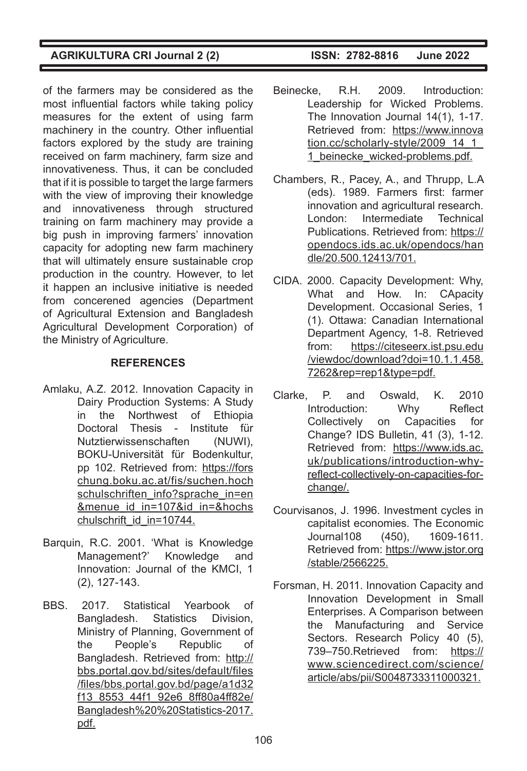of the farmers may be considered as the most influential factors while taking policy measures for the extent of using farm machinery in the country. Other influential factors explored by the study are training received on farm machinery, farm size and innovativeness. Thus, it can be concluded that if it is possible to target the large farmers with the view of improving their knowledge and innovativeness through structured training on farm machinery may provide a big push in improving farmers' innovation capacity for adopting new farm machinery that will ultimately ensure sustainable crop production in the country. However, to let it happen an inclusive initiative is needed from concerened agencies (Department of Agricultural Extension and Bangladesh Agricultural Development Corporation) of the Ministry of Agriculture.

# **REFERENCES**

- Amlaku, A.Z. 2012. Innovation Capacity in Dairy Production Systems: A Study in the Northwest of Ethiopia Doctoral Thesis - Institute für Nutztierwissenschaften (NUWI), BOKU-Universität für Bodenkultur, pp 102. Retrieved from: https://fors chung.boku.ac.at/fis/suchen.hoch schulschriften\_info?sprache\_in=en &menue\_id\_in=107&id\_in=&hochs chulschrift\_id\_in=10744.
- Barquin, R.C. 2001. 'What is Knowledge Management?' Knowledge and Innovation: Journal of the KMCI, 1 (2), 127-143.
- BBS. 2017. Statistical Yearbook of Bangladesh. Statistics Division, Ministry of Planning, Government of the People's Republic of Bangladesh. Retrieved from: http:// bbs.portal.gov.bd/sites/default/files /files/bbs.portal.gov.bd/page/a1d32 f13\_8553\_44f1\_92e6\_8ff80a4ff82e/ Bangladesh%20%20Statistics-2017. pdf.

- Beinecke, R.H. 2009. Introduction: Leadership for Wicked Problems. The Innovation Journal 14(1), 1-17. Retrieved from: https://www.innova tion.cc/scholarly-style/2009\_14\_1 1 beinecke wicked-problems.pdf.
- Chambers, R., Pacey, A., and Thrupp, L.A (eds). 1989. Farmers first: farmer innovation and agricultural research. London: Intermediate Technical Publications. Retrieved from: https:// opendocs.ids.ac.uk/opendocs/han dle/20.500.12413/701.
- CIDA. 2000. Capacity Development: Why, What and How. In: CApacity Development. Occasional Series, 1 (1). Ottawa: Canadian International Department Agency, 1-8. Retrieved from: https://citeseerx.ist.psu.edu /viewdoc/download?doi=10.1.1.458. 7262&rep=rep1&type=pdf.
- Clarke, P. and Oswald, K. 2010 Introduction: Why Reflect Collectively on Capacities for Change? IDS Bulletin, 41 (3), 1-12. Retrieved from: https://www.ids.ac. uk/publications/introduction-whyreflect-collectively-on-capacities-forchange/.
- Courvisanos, J. 1996. Investment cycles in capitalist economies. The Economic Journal108 (450), 1609-1611. Retrieved from: https://www.jstor.org /stable/2566225.
- Forsman, H. 2011. Innovation Capacity and Innovation Development in Small Enterprises. A Comparison between the Manufacturing and Service Sectors. Research Policy 40 (5), 739–750.Retrieved from: https:// www.sciencedirect.com/science/ article/abs/pii/S0048733311000321.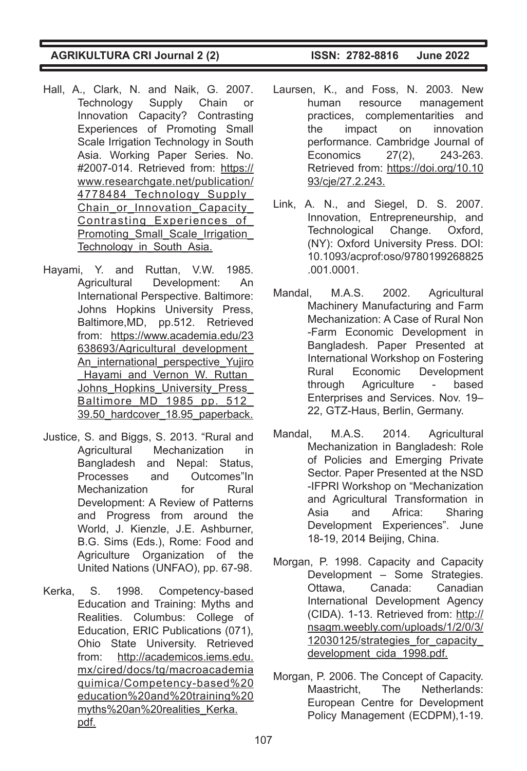- Hall, A., Clark, N. and Naik, G. 2007. Technology Supply Chain or Innovation Capacity? Contrasting Experiences of Promoting Small Scale Irrigation Technology in South Asia. Working Paper Series. No. #2007-014. Retrieved from: https:// www.researchgate.net/publication/ 4778484\_Technology\_Supply\_ Chain\_or\_Innovation\_Capacity Contrasting\_Experiences\_of\_ Promoting Small Scale Irrigation Technology\_in\_South\_Asia.
- Hayami, Y. and Ruttan, V.W. 1985. Agricultural Development: An International Perspective. Baltimore: Johns Hopkins University Press, Baltimore,MD, pp.512. Retrieved from: https://www.academia.edu/23 638693/Agricultural\_development\_ An international perspective Yujiro Hayami and Vernon W. Ruttan Johns Hopkins University Press Baltimore MD 1985 pp. 512 39.50\_hardcover\_18.95\_paperback.
- Justice, S. and Biggs, S. 2013. "Rural and Agricultural Mechanization in Bangladesh and Nepal: Status, Processes and Outcomes"In Mechanization for Rural Development: A Review of Patterns and Progress from around the World, J. Kienzle, J.E. Ashburner, B.G. Sims (Eds.), Rome: Food and Agriculture Organization of the United Nations (UNFAO), pp. 67-98.
- Kerka, S. 1998. Competency-based Education and Training: Myths and Realities. Columbus: College of Education, ERIC Publications (071), Ohio State University. Retrieved from: http://academicos.iems.edu. mx/cired/docs/tg/macroacademia quimica/Competency-based%20 education%20and%20training%20 myths%20an%20realities\_Kerka. pdf.

- Laursen, K., and Foss, N. 2003. New human resource management practices, complementarities and the impact on innovation performance. Cambridge Journal of Economics 27(2), 243-263. Retrieved from: https://doi.org/10.10 93/cje/27.2.243.
- Link, A. N., and Siegel, D. S. 2007. Innovation, Entrepreneurship, and Technological Change. Oxford, (NY): Oxford University Press. DOI: 10.1093/acprof:oso/9780199268825 .001.0001.
- Mandal, M.A.S. 2002. Agricultural Machinery Manufacturing and Farm Mechanization: A Case of Rural Non -Farm Economic Development in Bangladesh. Paper Presented at International Workshop on Fostering Rural Economic Development through Agriculture - based Enterprises and Services. Nov. 19– 22, GTZ-Haus, Berlin, Germany.
- Mandal, M.A.S. 2014. Agricultural Mechanization in Bangladesh: Role of Policies and Emerging Private Sector. Paper Presented at the NSD -IFPRI Workshop on "Mechanization and Agricultural Transformation in Asia and Africa: Sharing Development Experiences". June 18-19, 2014 Beijing, China.
- Morgan, P. 1998. Capacity and Capacity Development – Some Strategies. Ottawa, Canada: Canadian International Development Agency (CIDA). 1-13. Retrieved from: http:// nsagm.weebly.com/uploads/1/2/0/3/ 12030125/strategies\_for\_capacity\_ development cida 1998.pdf.
- Morgan, P. 2006. The Concept of Capacity. Maastricht, The Netherlands: European Centre for Development Policy Management (ECDPM),1-19.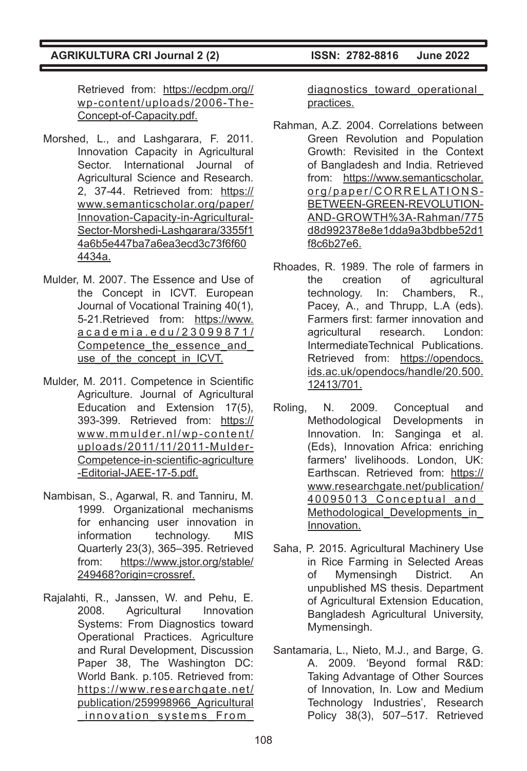Retrieved from: https://ecdpm.org// wp-content/uploads/2006-The-Concept-of-Capacity.pdf.

- Morshed, L., and Lashgarara, F. 2011. Innovation Capacity in Agricultural Sector. International Journal of Agricultural Science and Research. 2, 37-44. Retrieved from: https:// www.semanticscholar.org/paper/ Innovation-Capacity-in-Agricultural-Sector-Morshedi-Lashgarara/3355f1 4a6b5e447ba7a6ea3ecd3c73f6f60 4434a.
- Mulder, M. 2007. The Essence and Use of the Concept in ICVT. European Journal of Vocational Training 40(1), 5-21.Retrieved from: https://www. academia.edu/23099871/ Competence the essence and use of the concept in ICVT.
- Mulder, M. 2011. Competence in Scientific Agriculture. Journal of Agricultural Education and Extension 17(5), 393-399. Retrieved from: https:// www.mmulder.nl/wp-content/ uploads/2011/11/2011-Mulder-Competence-in-scientific-agriculture -Editorial-JAEE-17-5.pdf.
- Nambisan, S., Agarwal, R. and Tanniru, M. 1999. Organizational mechanisms for enhancing user innovation in information technology. MIS Quarterly 23(3), 365–395. Retrieved from: https://www.jstor.org/stable/ 249468?origin=crossref.
- Rajalahti, R., Janssen, W. and Pehu, E. 2008. Agricultural Innovation Systems: From Diagnostics toward Operational Practices. Agriculture and Rural Development, Discussion Paper 38, The Washington DC: World Bank. p.105. Retrieved from: https://www.researchgate.net/ publication/259998966\_Agricultural \_innovation\_systems\_From\_

diagnostics toward operational practices.

- Rahman, A.Z. 2004. Correlations between Green Revolution and Population Growth: Revisited in the Context of Bangladesh and India. Retrieved from: https://www.semanticscholar. org/paper/CORRELATIONS-BETWEEN-GREEN-REVOLUTION-AND-GROWTH%3A-Rahman/775 d8d992378e8e1dda9a3bdbbe52d1 f8c6b27e6.
- Rhoades, R. 1989. The role of farmers in the creation of agricultural technology. In: Chambers, R., Pacey, A., and Thrupp, L.A (eds). Farmers first: farmer innovation and agricultural research. London: IntermediateTechnical Publications. Retrieved from: https://opendocs. ids.ac.uk/opendocs/handle/20.500. 12413/701.
- Roling, N. 2009. Conceptual and Methodological Developments in Innovation. In: Sanginga et al. (Eds), Innovation Africa: enriching farmers' livelihoods. London, UK: Earthscan. Retrieved from: https:// www.researchgate.net/publication/ 40095013 Conceptual and Methodological Developments in Innovation.
- Saha, P. 2015. Agricultural Machinery Use in Rice Farming in Selected Areas of Mymensingh District. An unpublished MS thesis. Department of Agricultural Extension Education, Bangladesh Agricultural University, Mymensingh.
- Santamaria, L., Nieto, M.J., and Barge, G. A. 2009. 'Beyond formal R&D: Taking Advantage of Other Sources of Innovation, In. Low and Medium Technology Industries', Research Policy 38(3), 507–517. Retrieved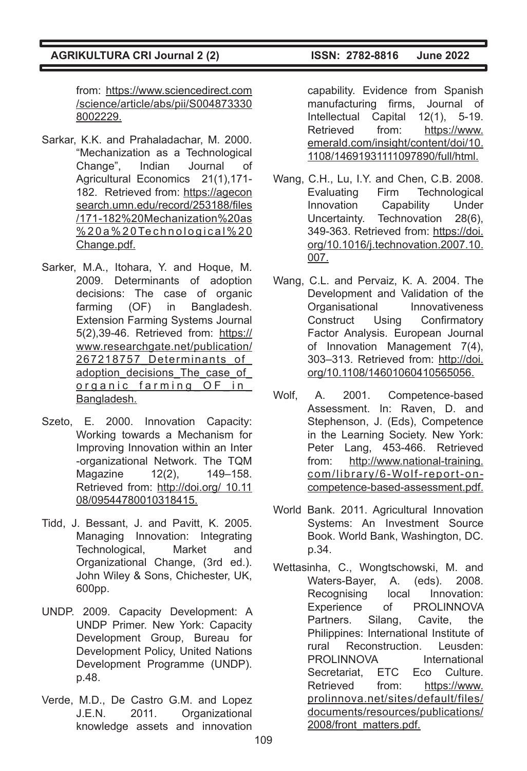from: https://www.sciencedirect.com /science/article/abs/pii/S004873330 8002229.

- Sarkar, K.K. and Prahaladachar, M. 2000. "Mechanization as a Technological Change", Indian Journal of Agricultural Economics 21(1),171- 182. Retrieved from: https://agecon search.umn.edu/record/253188/files /171-182%20Mechanization%20as %20a%20Technological%20 Change.pdf.
- Sarker, M.A., Itohara, Y. and Hoque, M. 2009. Determinants of adoption decisions: The case of organic farming (OF) in Bangladesh. Extension Farming Systems Journal 5(2),39-46. Retrieved from: https:// www.researchgate.net/publication/ 267218757\_Determinants\_of\_ adoption decisions The case of organic farming OF in Bangladesh.
- Szeto, E. 2000. Innovation Capacity: Working towards a Mechanism for Improving Innovation within an Inter -organizational Network. The TQM Magazine 12(2), 149-158. Retrieved from: http://doi.org/ 10.11 08/09544780010318415.
- Tidd, J. Bessant, J. and Pavitt, K. 2005. Managing Innovation: Integrating Technological, Market and Organizational Change, (3rd ed.). John Wiley & Sons, Chichester, UK, 600pp.
- UNDP. 2009. Capacity Development: A UNDP Primer. New York: Capacity Development Group, Bureau for Development Policy, United Nations Development Programme (UNDP). p.48.
- Verde, M.D., De Castro G.M. and Lopez J.E.N. 2011. Organizational knowledge assets and innovation

capability. Evidence from Spanish manufacturing firms, Journal of Intellectual Capital 12(1), 5-19. Retrieved from: https://www. emerald.com/insight/content/doi/10. 1108/14691931111097890/full/html.

- Wang, C.H., Lu, I.Y. and Chen, C.B. 2008. Evaluating Firm Technological Innovation Capability Under Uncertainty. Technovation 28(6), 349-363. Retrieved from: https://doi. org/10.1016/j.technovation.2007.10. 007.
- Wang, C.L. and Pervaiz, K. A. 2004. The Development and Validation of the Organisational Innovativeness Construct Using Confirmatory Factor Analysis. European Journal of Innovation Management 7(4), 303–313. Retrieved from: http://doi. org/10.1108/14601060410565056.
- Wolf, A. 2001. Competence-based Assessment. In: Raven, D. and Stephenson, J. (Eds), Competence in the Learning Society. New York: Peter Lang, 453-466. Retrieved from: http://www.national-training. com/library/6-Wolf-report-oncompetence-based-assessment.pdf.
- World Bank. 2011. Agricultural Innovation Systems: An Investment Source Book. World Bank, Washington, DC. p.34.
- Wettasinha, C., Wongtschowski, M. and Waters-Bayer, A. (eds). 2008. Recognising local Innovation: Experience of PROLINNOVA Partners. Silang, Cavite, the Philippines: International Institute of rural Reconstruction. Leusden: PROLINNOVA International Secretariat, ETC Eco Culture. Retrieved from: https://www. prolinnova.net/sites/default/files/ documents/resources/publications/ 2008/front\_matters.pdf.